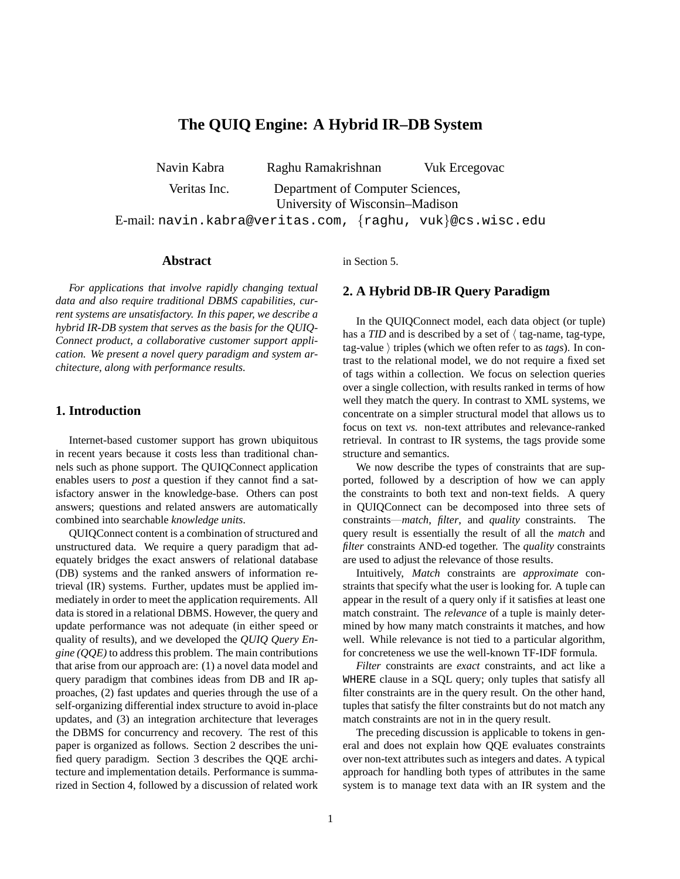# **The QUIQ Engine: A Hybrid IR–DB System**

Navin Kabra Raghu Ramakrishnan Vuk Ercegovac

Veritas Inc. Department of Computer Sciences,

University of Wisconsin–Madison

E-mail: navin.kabra@veritas.com, {raghu, vuk}@cs.wisc.edu

#### **Abstract**

*For applications that involve rapidly changing textual data and also require traditional DBMS capabilities, current systems are unsatisfactory. In this paper, we describe a hybrid IR-DB system that serves as the basis for the QUIQ-Connect product, a collaborative customer support application. We present a novel query paradigm and system architecture, along with performance results.*

## **1. Introduction**

Internet-based customer support has grown ubiquitous in recent years because it costs less than traditional channels such as phone support. The QUIQConnect application enables users to *post* a question if they cannot find a satisfactory answer in the knowledge-base. Others can post answers; questions and related answers are automatically combined into searchable *knowledge units*.

QUIQConnect content is a combination of structured and unstructured data. We require a query paradigm that adequately bridges the exact answers of relational database (DB) systems and the ranked answers of information retrieval (IR) systems. Further, updates must be applied immediately in order to meet the application requirements. All data is stored in a relational DBMS. However, the query and update performance was not adequate (in either speed or quality of results), and we developed the *QUIQ Query Engine (QQE)* to address this problem. The main contributions that arise from our approach are: (1) a novel data model and query paradigm that combines ideas from DB and IR approaches, (2) fast updates and queries through the use of a self-organizing differential index structure to avoid in-place updates, and (3) an integration architecture that leverages the DBMS for concurrency and recovery. The rest of this paper is organized as follows. Section 2 describes the unified query paradigm. Section 3 describes the QQE architecture and implementation details. Performance is summarized in Section 4, followed by a discussion of related work

in Section 5.

#### **2. A Hybrid DB-IR Query Paradigm**

In the QUIQConnect model, each data object (or tuple) has a  $TID$  and is described by a set of  $\langle$  tag-name, tag-type, tag-value  $\rangle$  triples (which we often refer to as *tags*). In contrast to the relational model, we do not require a fixed set of tags within a collection. We focus on selection queries over a single collection, with results ranked in terms of how well they match the query. In contrast to XML systems, we concentrate on a simpler structural model that allows us to focus on text *vs.* non-text attributes and relevance-ranked retrieval. In contrast to IR systems, the tags provide some structure and semantics.

We now describe the types of constraints that are supported, followed by a description of how we can apply the constraints to both text and non-text fields. A query in QUIQConnect can be decomposed into three sets of constraints—*match*, *filter*, and *quality* constraints. The query result is essentially the result of all the *match* and *filter* constraints AND-ed together. The *quality* constraints are used to adjust the relevance of those results.

Intuitively, *Match* constraints are *approximate* constraints that specify what the user is looking for. A tuple can appear in the result of a query only if it satisfies at least one match constraint. The *relevance* of a tuple is mainly determined by how many match constraints it matches, and how well. While relevance is not tied to a particular algorithm, for concreteness we use the well-known TF-IDF formula.

*Filter* constraints are *exact* constraints, and act like a WHERE clause in a SQL query; only tuples that satisfy all filter constraints are in the query result. On the other hand, tuples that satisfy the filter constraints but do not match any match constraints are not in in the query result.

The preceding discussion is applicable to tokens in general and does not explain how QQE evaluates constraints over non-text attributes such as integers and dates. A typical approach for handling both types of attributes in the same system is to manage text data with an IR system and the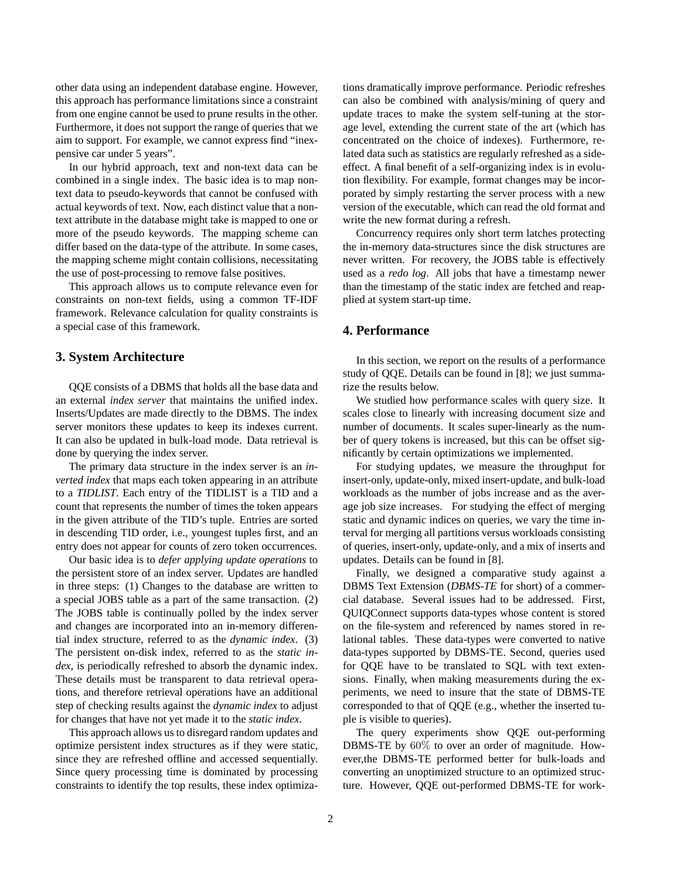other data using an independent database engine. However, this approach has performance limitations since a constraint from one engine cannot be used to prune results in the other. Furthermore, it does not support the range of queries that we aim to support. For example, we cannot express find "inexpensive car under 5 years".

In our hybrid approach, text and non-text data can be combined in a single index. The basic idea is to map nontext data to pseudo-keywords that cannot be confused with actual keywords of text. Now, each distinct value that a nontext attribute in the database might take is mapped to one or more of the pseudo keywords. The mapping scheme can differ based on the data-type of the attribute. In some cases, the mapping scheme might contain collisions, necessitating the use of post-processing to remove false positives.

This approach allows us to compute relevance even for constraints on non-text fields, using a common TF-IDF framework. Relevance calculation for quality constraints is a special case of this framework.

#### **3. System Architecture**

QQE consists of a DBMS that holds all the base data and an external *index server* that maintains the unified index. Inserts/Updates are made directly to the DBMS. The index server monitors these updates to keep its indexes current. It can also be updated in bulk-load mode. Data retrieval is done by querying the index server.

The primary data structure in the index server is an *inverted index* that maps each token appearing in an attribute to a *TIDLIST*. Each entry of the TIDLIST is a TID and a count that represents the number of times the token appears in the given attribute of the TID's tuple. Entries are sorted in descending TID order, i.e., youngest tuples first, and an entry does not appear for counts of zero token occurrences.

Our basic idea is to *defer applying update operations* to the persistent store of an index server. Updates are handled in three steps: (1) Changes to the database are written to a special JOBS table as a part of the same transaction. (2) The JOBS table is continually polled by the index server and changes are incorporated into an in-memory differential index structure, referred to as the *dynamic index*. (3) The persistent on-disk index, referred to as the *static index*, is periodically refreshed to absorb the dynamic index. These details must be transparent to data retrieval operations, and therefore retrieval operations have an additional step of checking results against the *dynamic index* to adjust for changes that have not yet made it to the *static index*.

This approach allows us to disregard random updates and optimize persistent index structures as if they were static, since they are refreshed offline and accessed sequentially. Since query processing time is dominated by processing constraints to identify the top results, these index optimizations dramatically improve performance. Periodic refreshes can also be combined with analysis/mining of query and update traces to make the system self-tuning at the storage level, extending the current state of the art (which has concentrated on the choice of indexes). Furthermore, related data such as statistics are regularly refreshed as a sideeffect. A final benefit of a self-organizing index is in evolution flexibility. For example, format changes may be incorporated by simply restarting the server process with a new version of the executable, which can read the old format and write the new format during a refresh.

Concurrency requires only short term latches protecting the in-memory data-structures since the disk structures are never written. For recovery, the JOBS table is effectively used as a *redo log*. All jobs that have a timestamp newer than the timestamp of the static index are fetched and reapplied at system start-up time.

## **4. Performance**

In this section, we report on the results of a performance study of QQE. Details can be found in [8]; we just summarize the results below.

We studied how performance scales with query size. It scales close to linearly with increasing document size and number of documents. It scales super-linearly as the number of query tokens is increased, but this can be offset significantly by certain optimizations we implemented.

For studying updates, we measure the throughput for insert-only, update-only, mixed insert-update, and bulk-load workloads as the number of jobs increase and as the average job size increases. For studying the effect of merging static and dynamic indices on queries, we vary the time interval for merging all partitions versus workloads consisting of queries, insert-only, update-only, and a mix of inserts and updates. Details can be found in [8].

Finally, we designed a comparative study against a DBMS Text Extension (*DBMS-TE* for short) of a commercial database. Several issues had to be addressed. First, QUIQConnect supports data-types whose content is stored on the file-system and referenced by names stored in relational tables. These data-types were converted to native data-types supported by DBMS-TE. Second, queries used for QQE have to be translated to SQL with text extensions. Finally, when making measurements during the experiments, we need to insure that the state of DBMS-TE corresponded to that of QQE (e.g., whether the inserted tuple is visible to queries).

The query experiments show QQE out-performing DBMS-TE by 60% to over an order of magnitude. However,the DBMS-TE performed better for bulk-loads and converting an unoptimized structure to an optimized structure. However, QQE out-performed DBMS-TE for work